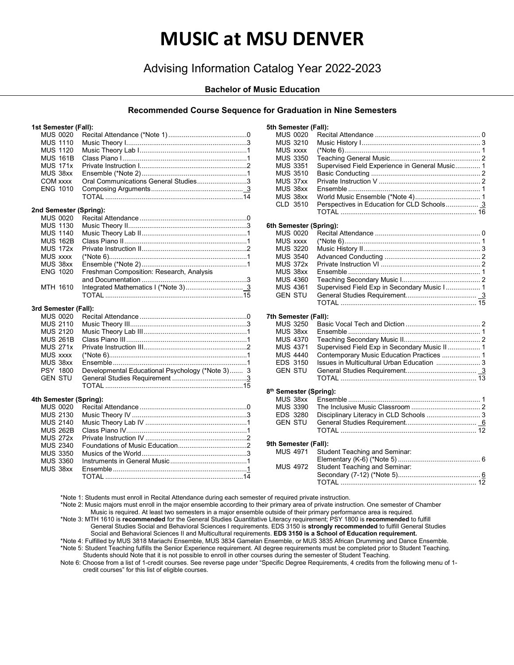# **MUSIC at MSU DENVER**

# Advising Information Catalog Year 2022-2023

### **Bachelor of Music Education**

## **Recommended Course Sequence for Graduation in Nine Semesters**

**5th Semester (Fall):**

#### **1st Semester (Fall):**

|  | <b>MUS 0020</b><br><b>MUS 1110</b><br><b>MUS 1120</b><br><b>MUS 161B</b><br><b>MUS 171x</b><br>MUS 38xx<br><b>COM xxxx</b><br><b>ENG 1010</b> | Oral Communications General Studies3             |
|--|-----------------------------------------------------------------------------------------------------------------------------------------------|--------------------------------------------------|
|  |                                                                                                                                               |                                                  |
|  |                                                                                                                                               | 2nd Semester (Spring):                           |
|  | <b>MUS 0020</b>                                                                                                                               |                                                  |
|  | <b>MUS 1130</b>                                                                                                                               |                                                  |
|  | <b>MUS 1140</b>                                                                                                                               |                                                  |
|  | <b>MUS 162B</b>                                                                                                                               |                                                  |
|  | <b>MUS 172x</b>                                                                                                                               |                                                  |
|  | <b>MUS xxxx</b>                                                                                                                               |                                                  |
|  | MUS 38xx                                                                                                                                      |                                                  |
|  | <b>ENG 1020</b>                                                                                                                               | Freshman Composition: Research, Analysis         |
|  |                                                                                                                                               |                                                  |
|  | MTH 1610                                                                                                                                      |                                                  |
|  |                                                                                                                                               |                                                  |
|  | 3rd Semester (Fall):                                                                                                                          |                                                  |
|  | <b>MUS 0020</b>                                                                                                                               |                                                  |
|  | <b>MUS 2110</b>                                                                                                                               |                                                  |
|  | <b>MUS 2120</b>                                                                                                                               |                                                  |
|  | <b>MUS 261B</b>                                                                                                                               |                                                  |
|  | <b>MUS 271x</b>                                                                                                                               |                                                  |
|  | <b>MUS xxxx</b>                                                                                                                               |                                                  |
|  | MUS 38xx                                                                                                                                      |                                                  |
|  | PSY 1800                                                                                                                                      | Developmental Educational Psychology (*Note 3) 3 |
|  | <b>GEN STU</b>                                                                                                                                |                                                  |
|  |                                                                                                                                               |                                                  |
|  |                                                                                                                                               |                                                  |
|  | 4th Semester (Spring):<br><b>MUS 0020</b>                                                                                                     |                                                  |
|  | <b>MUS 2130</b>                                                                                                                               |                                                  |
|  | <b>MUS 2140</b>                                                                                                                               |                                                  |
|  | <b>MUS 262B</b>                                                                                                                               |                                                  |
|  | <b>MUS 272x</b>                                                                                                                               |                                                  |
|  | <b>MUS 2340</b>                                                                                                                               |                                                  |
|  | <b>MUS 3350</b>                                                                                                                               |                                                  |
|  |                                                                                                                                               |                                                  |

MUS 3350 Musics of the World.......................................................3 MUS 3360 Instruments in General Music........................................1

MUS 38xx Ensemble......................................................................1 TOTAL ........................................................................14

| <b>MUS 0020</b><br><b>MUS 3210</b><br><b>MUS xxxx</b><br><b>MUS 3350</b><br><b>MUS 3351</b><br><b>MUS 3510</b><br>MUS 37xx<br>MUS 38xx<br>MUS 38xx<br>CLD 3510 | Supervised Field Experience in General Music 1<br>Perspectives in Education for CLD Schools 3 |  |
|----------------------------------------------------------------------------------------------------------------------------------------------------------------|-----------------------------------------------------------------------------------------------|--|
|                                                                                                                                                                |                                                                                               |  |
| 6th Semester (Spring):<br><b>MUS 0020</b>                                                                                                                      |                                                                                               |  |
| <b>MUS xxxx</b>                                                                                                                                                |                                                                                               |  |
| <b>MUS 3220</b>                                                                                                                                                |                                                                                               |  |
| <b>MUS 3540</b>                                                                                                                                                |                                                                                               |  |
| <b>MUS 372x</b>                                                                                                                                                |                                                                                               |  |
| MUS 38xx                                                                                                                                                       |                                                                                               |  |
| <b>MUS 4360</b>                                                                                                                                                |                                                                                               |  |
| <b>MUS 4361</b>                                                                                                                                                | Supervised Field Exp in Secondary Music I 1                                                   |  |
| <b>GEN STU</b>                                                                                                                                                 |                                                                                               |  |
|                                                                                                                                                                |                                                                                               |  |
| 7th Semester (Fall):                                                                                                                                           |                                                                                               |  |
| <b>MUS 3250</b>                                                                                                                                                |                                                                                               |  |
| MUS 38xx<br><b>MUS 4370</b>                                                                                                                                    |                                                                                               |  |
| <b>MUS 4371</b>                                                                                                                                                | Supervised Field Exp in Secondary Music II 1                                                  |  |
| <b>MUS 4440</b>                                                                                                                                                | Contemporary Music Education Practices  1                                                     |  |
| EDS 3150                                                                                                                                                       | Issues in Multicultural Urban Education  3                                                    |  |
| <b>GEN STU</b>                                                                                                                                                 |                                                                                               |  |
|                                                                                                                                                                |                                                                                               |  |
|                                                                                                                                                                |                                                                                               |  |
| 8 <sup>th</sup> Semester (Spring):<br>MUS 38xx                                                                                                                 |                                                                                               |  |
| <b>MUS 3390</b>                                                                                                                                                |                                                                                               |  |
| EDS 3280                                                                                                                                                       | Disciplinary Literacy in CLD Schools  3                                                       |  |
| <b>GEN STU</b>                                                                                                                                                 |                                                                                               |  |
|                                                                                                                                                                |                                                                                               |  |
|                                                                                                                                                                |                                                                                               |  |
| 9th Semester (Fall):                                                                                                                                           |                                                                                               |  |
| <b>MUS 4971</b>                                                                                                                                                | <b>Student Teaching and Seminar:</b>                                                          |  |
| <b>MUS 4972</b>                                                                                                                                                | Student Teaching and Seminar:                                                                 |  |
|                                                                                                                                                                |                                                                                               |  |
|                                                                                                                                                                |                                                                                               |  |
|                                                                                                                                                                |                                                                                               |  |

\*Note 1: Students must enroll in Recital Attendance during each semester of required private instruction.

\*Note 2: Music majors must enroll in the major ensemble according to their primary area of private instruction. One semester of Chamber

Music is required. At least two semesters in a major ensemble outside of their primary performance area is required.

\*Note 3: MTH 1610 is **recommended** for the General Studies Quantitative Literacy requirement; PSY 1800 is **recommended** to fulfill General Studies Social and Behavioral Sciences I requirements. EDS 3150 is **strongly recommended** to fulfill General Studies Social and Behavioral Sciences II and Multicultural requirements. **EDS 3150 is a School of Education requirement.** 

\*Note 4: Fulfilled by MUS 3818 Mariachi Ensemble, MUS 3834 Gamelan Ensemble, or MUS 3835 African Drumming and Dance Ensemble.

\*Note 5: Student Teaching fulfills the Senior Experience requirement. All degree requirements must be completed prior to Student Teaching. Students should Note that it is not possible to enroll in other courses during the semester of Student Teaching.

Note 6: Choose from a list of 1-credit courses. See reverse page under "Specific Degree Requirements, 4 credits from the following menu of 1 credit courses" for this list of eligible courses.